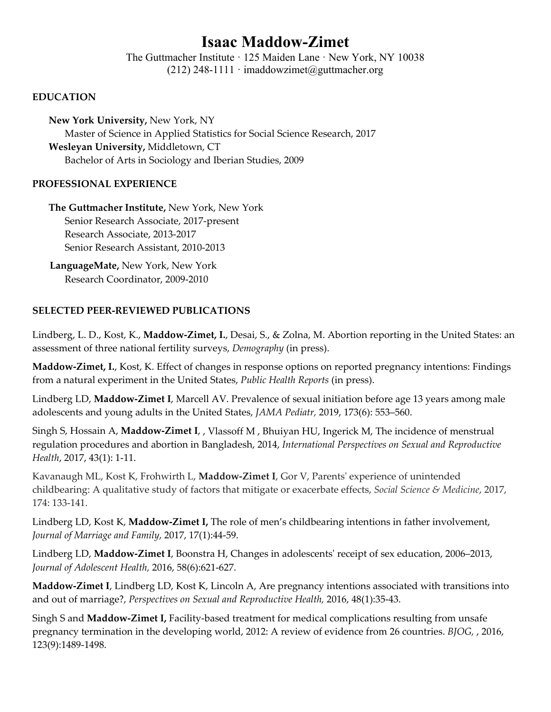# **Isaac Maddow-Zimet**

The Guttmacher Institute  $\cdot$  125 Maiden Lane  $\cdot$  New York, NY 10038 (212) 248-1111  $\cdot$  imaddowzimet@guttmacher.org

#### **EDUCATION**

**New York University,** New York, NY Master of Science in Applied Statistics for Social Science Research, 2017 **Wesleyan University,** Middletown, CT Bachelor of Arts in Sociology and Iberian Studies, 2009

#### **PROFESSIONAL EXPERIENCE**

**The Guttmacher Institute,** New York, New York Senior Research Associate, 2017‐present Research Associate, 2013‐2017 Senior Research Assistant, 2010‐2013

 **LanguageMate,** New York, New York Research Coordinator, 2009‐2010

## **SELECTED PEER‐REVIEWED PUBLICATIONS**

Lindberg, L. D., Kost, K., **Maddow‐Zimet, I.**, Desai, S., & Zolna, M. Abortion reporting in the United States: an assessment of three national fertility surveys, *Demography* (in press).

**Maddow‐Zimet, I.**, Kost, K. Effect of changes in response options on reported pregnancy intentions: Findings from a natural experiment in the United States, *Public Health Reports* (in press).

Lindberg LD, **Maddow‐Zimet I**, Marcell AV. Prevalence of sexual initiation before age 13 years among male adolescents and young adults in the United States, *JAMA Pediatr,* 2019, 173(6): 553–560.

Singh S, Hossain A, **Maddow‐Zimet I**, , Vlassoff M , Bhuiyan HU, Ingerick M, The incidence of menstrual regulation procedures and abortion in Bangladesh, 2014, *International Perspectives on Sexual and Reproductive Health*, 2017, 43(1): 1‐11.

Kavanaugh ML, Kost K, Frohwirth L, **Maddow‐Zimet I**, Gor V, Parentsʹ experience of unintended childbearing: A qualitative study of factors that mitigate or exacerbate effects, *Social Science & Medicine*, 2017, 174: 133‐141.

Lindberg LD, Kost K, **Maddow‐Zimet I,** The role of men's childbearing intentions in father involvement, *Journal of Marriage and Family*, 2017, 17(1):44‐59.

Lindberg LD, **Maddow‐Zimet I**, Boonstra H, Changes in adolescentsʹ receipt of sex education, 2006–2013, *Journal of Adolescent Health,* 2016, 58(6):621‐627.

**Maddow‐Zimet I**, Lindberg LD, Kost K, Lincoln A, Are pregnancy intentions associated with transitions into and out of marriage?, *Perspectives on Sexual and Reproductive Health,* 2016, 48(1):35‐43.

Singh S and **Maddow‐Zimet I,** Facility‐based treatment for medical complications resulting from unsafe pregnancy termination in the developing world, 2012: A review of evidence from 26 countries. *BJOG,* , 2016, 123(9):1489‐1498.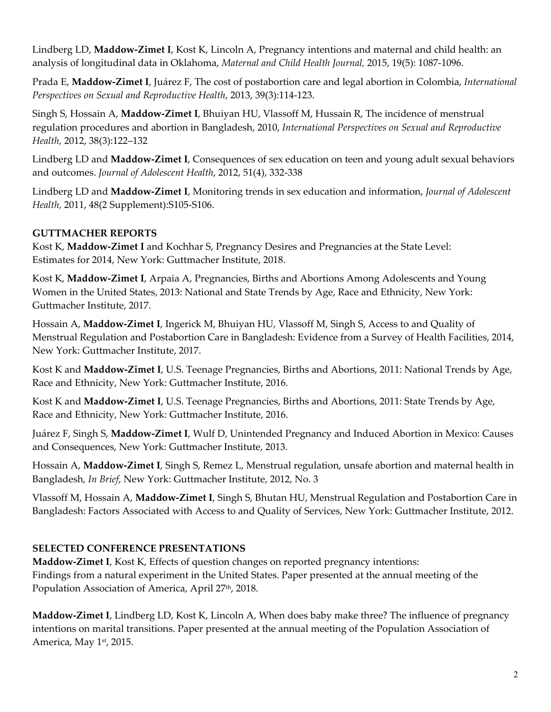Lindberg LD, **Maddow‐Zimet I**, Kost K, Lincoln A, Pregnancy intentions and maternal and child health: an analysis of longitudinal data in Oklahoma, *Maternal and Child Health Journal,* 2015, 19(5): 1087‐1096.

Prada E, **Maddow‐Zimet I**, Juárez F, The cost of postabortion care and legal abortion in Colombia, *International Perspectives on Sexual and Reproductive Health*, 2013, 39(3):114‐123.

Singh S, Hossain A, **Maddow‐Zimet I**, Bhuiyan HU, Vlassoff M, Hussain R, The incidence of menstrual regulation procedures and abortion in Bangladesh, 2010, *International Perspectives on Sexual and Reproductive Health,* 2012, 38(3):122–132

Lindberg LD and **Maddow‐Zimet I**, Consequences of sex education on teen and young adult sexual behaviors and outcomes. *Journal of Adolescent Health*, 2012, 51(4), 332‐338

Lindberg LD and **Maddow‐Zimet I**, Monitoring trends in sex education and information, *Journal of Adolescent Health,* 2011, 48(2 Supplement):S105‐S106.

## **GUTTMACHER REPORTS**

Kost K, **Maddow‐Zimet I** and Kochhar S, Pregnancy Desires and Pregnancies at the State Level: Estimates for 2014, New York: Guttmacher Institute, 2018.

Kost K, **Maddow‐Zimet I**, Arpaia A, Pregnancies, Births and Abortions Among Adolescents and Young Women in the United States, 2013: National and State Trends by Age, Race and Ethnicity, New York: Guttmacher Institute, 2017.

Hossain A, **Maddow‐Zimet I**, Ingerick M, Bhuiyan HU, Vlassoff M, Singh S, Access to and Quality of Menstrual Regulation and Postabortion Care in Bangladesh: Evidence from a Survey of Health Facilities, 2014, New York: Guttmacher Institute, 2017.

Kost K and **Maddow‐Zimet I**, U.S. Teenage Pregnancies, Births and Abortions, 2011: National Trends by Age, Race and Ethnicity, New York: Guttmacher Institute, 2016.

Kost K and **Maddow‐Zimet I**, U.S. Teenage Pregnancies, Births and Abortions, 2011: State Trends by Age, Race and Ethnicity, New York: Guttmacher Institute, 2016.

Juárez F, Singh S, **Maddow‐Zimet I**, Wulf D, Unintended Pregnancy and Induced Abortion in Mexico: Causes and Consequences, New York: Guttmacher Institute, 2013.

Hossain A, **Maddow‐Zimet I**, Singh S, Remez L, Menstrual regulation, unsafe abortion and maternal health in Bangladesh*, In Brief*, New York: Guttmacher Institute, 2012, No. 3

Vlassoff M, Hossain A, **Maddow‐Zimet I**, Singh S, Bhutan HU, Menstrual Regulation and Postabortion Care in Bangladesh: Factors Associated with Access to and Quality of Services, New York: Guttmacher Institute, 2012.

## **SELECTED CONFERENCE PRESENTATIONS**

**Maddow‐Zimet I**, Kost K, Effects of question changes on reported pregnancy intentions: Findings from a natural experiment in the United States. Paper presented at the annual meeting of the Population Association of America, April 27<sup>th</sup>, 2018.

**Maddow‐Zimet I**, Lindberg LD, Kost K, Lincoln A, When does baby make three? The influence of pregnancy intentions on marital transitions. Paper presented at the annual meeting of the Population Association of America, May 1<sup>st</sup>, 2015.